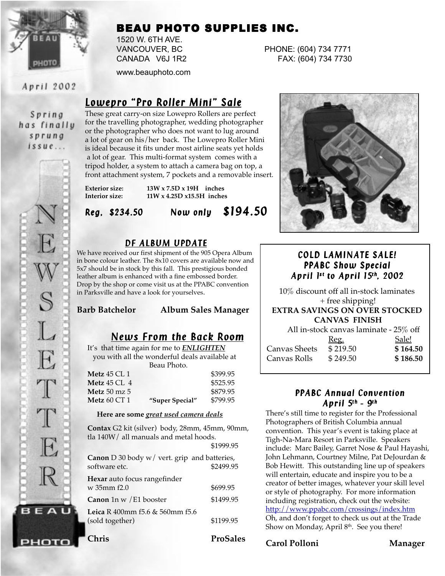

# BEAU PHOTO SUPPLIES INC.

1520 W. 6TH AVE.

www.beauphoto.com

April 2002

### Spring has finally sprung  $is sue...$



рното

# *Lowepro "Pro Roller Mini" Sale Lowepro "Pro Roller Mini"*

These great carry-on size Lowepro Rollers are perfect for the travelling photographer, wedding photographer or the photographer who does not want to lug around a lot of gear on his/her back. The Lowepro Roller Mini is ideal because it fits under most airline seats yet holds a lot of gear. This multi-format system comes with a tripod holder, a system to attach a camera bag on top, a front attachment system, 7 pockets and a removable insert.

**Exterior size: 13W x 7.5D x 19H inches Interior size: 11W x 4.25D x15.5H inches**

*Reg, \$234.50 Now only Reg, \$234.50 Now only \$194.50*

## *DF ALBUM UPDATE*

We have received our first shipment of the 905 Opera Album in bone colour leather. The 8x10 covers are available now and 5x7 should be in stock by this fall. This prestigious bonded leather album is enhanced with a fine embossed border. Drop by the shop or come visit us at the PPABC convention in Parksville and have a look for yourselves.

#### **Barb Batchelor Album Sales Manager**

## *News From the Back Room*

It's that time again for me to *ENLIGHTEN* you with all the wonderful deals available at Beau Photo.

| Metz 45 CL 1        |                 | \$399.95 |
|---------------------|-----------------|----------|
| Metz 45 CL 4        |                 | \$525.95 |
| <b>Metz</b> 50 mz 5 |                 | \$879.95 |
| Metz 60 CT $1\,$    | "Super Special" | \$799.95 |

#### **Here are some** *great used camera deals*

**Contax** G2 kit (silver) body, 28mm, 45mm, 90mm, tla 140W/ all manuals and metal hoods.  $$1000.95$ 

|                                                               | <b>91777.79</b> |
|---------------------------------------------------------------|-----------------|
| Canon D 30 body w/ vert. grip and batteries,<br>software etc. | \$2499.95       |
| Hexar auto focus rangefinder<br>w 35mm f2.0                   | \$699.95        |
| Canon 1n w / E1 booster                                       | \$1499.95       |
| Leica R 400mm f5.6 & 560mm f5.6<br>(sold together)            | \$1199.95       |

**Chris ProSales**

VANCOUVER, BC PHONE: (604) 734 7771 CANADA V6J 1R2 FAX: (604) 734 7730



## *COLD LAMINATE SALE! PPABC Show Special Show Special April 1 April 1s t to April 15t h, 2002*

10% discount off all in-stock laminates + free shipping! **EXTRA SAVINGS ON OVER STOCKED CANVAS FINISH** All in-stock canvas laminate - 25% off <u>Reg.</u><br>
\$219.50 **\$164.50** Canvas Sheets \$ 219.50 **\$ 164.50** Canvas Rolls \$ 249.50 **\$ 186.50**

#### *PPABC Annual Convention April 5t h - 9t h*

There's still time to register for the Professional Photographers of British Columbia annual convention. This year's event is taking place at Tigh-Na-Mara Resort in Parksville. Speakers include: Marc Bailey, Garret Nose & Paul Hayashi, John Lehmann, Courtney Milne, Pat DeJourdan & Bob Hewitt. This outstanding line up of speakers will entertain, educate and inspire you to be a creator of better images, whatever your skill level or style of photography. For more information including registration, check out the website: http://www.ppabc.com/crossings/index.htm Oh, and don't forget to check us out at the Trade Show on Monday, April  $8<sup>th</sup>$ . See you there!

#### **Carol Polloni Manager**